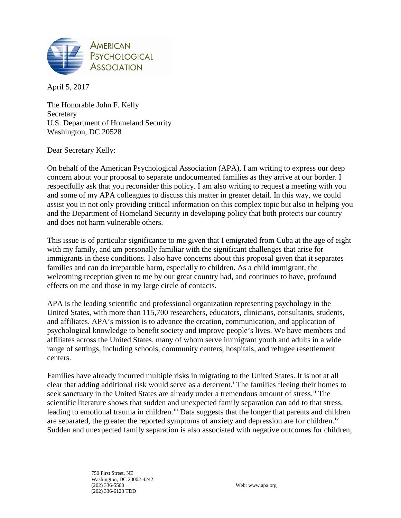

April 5, 2017

The Honorable John F. Kelly **Secretary** U.S. Department of Homeland Security Washington, DC 20528

Dear Secretary Kelly:

On behalf of the American Psychological Association (APA), I am writing to express our deep concern about your proposal to separate undocumented families as they arrive at our border. I respectfully ask that you reconsider this policy. I am also writing to request a meeting with you and some of my APA colleagues to discuss this matter in greater detail. In this way, we could assist you in not only providing critical information on this complex topic but also in helping you and the Department of Homeland Security in developing policy that both protects our country and does not harm vulnerable others.

This issue is of particular significance to me given that I emigrated from Cuba at the age of eight with my family, and am personally familiar with the significant challenges that arise for immigrants in these conditions. I also have concerns about this proposal given that it separates families and can do irreparable harm, especially to children. As a child immigrant, the welcoming reception given to me by our great country had, and continues to have, profound effects on me and those in my large circle of contacts.

APA is the leading scientific and professional organization representing psychology in the United States, with more than 115,700 researchers, educators, clinicians, consultants, students, and affiliates. APA's mission is to advance the creation, communication, and application of psychological knowledge to benefit society and improve people's lives. We have members and affiliates across the United States, many of whom serve immigrant youth and adults in a wide range of settings, including schools, community centers, hospitals, and refugee resettlement centers.

Families have already incurred multiple risks in migrating to the United States. It is not at all clear that add[i](#page-2-0)ng additional risk would serve as a deterrent.<sup> $\mathbf{i}$ </sup> The families fleeing their homes to seek sanctuary in the United States are already under a tremendous amount of stress.<sup>[ii](#page-2-1)</sup> The scientific literature shows that sudden and unexpected family separation can add to that stress, leading to emotional trauma in children.<sup>[iii](#page-2-2)</sup> Data suggests that the longer that parents and children are separated, the greater the reported symptoms of anxiety and depression are for children.<sup>iv</sup> Sudden and unexpected family separation is also associated with negative outcomes for children,

> 750 First Street, NE Washington, DC 20002-4242<br>(202) 336-5500 (202) 336-6123 TDD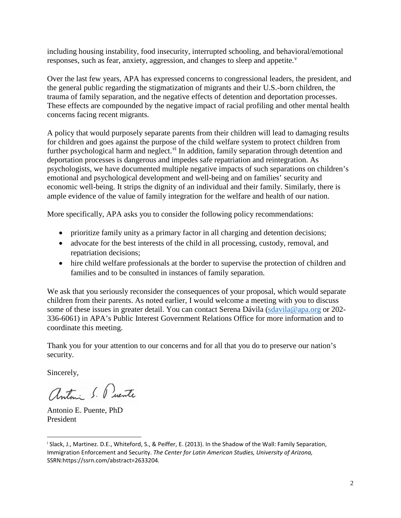including housing instability, food insecurity, interrupted schooling, and behavioral/emotional responses, such as fear, anxiety, aggression, and changes to sleep and appetite. $v$ 

Over the last few years, APA has expressed concerns to congressional leaders, the president, and the general public regarding the stigmatization of migrants and their U.S.-born children, the trauma of family separation, and the negative effects of detention and deportation processes. These effects are compounded by the negative impact of racial profiling and other mental health concerns facing recent migrants.

A policy that would purposely separate parents from their children will lead to damaging results for children and goes against the purpose of the child welfare system to protect children from further psychological harm and neglect.<sup>[vi](#page-2-5)</sup> In addition, family separation through detention and deportation processes is dangerous and impedes safe repatriation and reintegration. As psychologists, we have documented multiple negative impacts of such separations on children's emotional and psychological development and well-being and on families' security and economic well-being. It strips the dignity of an individual and their family. Similarly, there is ample evidence of the value of family integration for the welfare and health of our nation.

More specifically, APA asks you to consider the following policy recommendations:

- prioritize family unity as a primary factor in all charging and detention decisions;
- advocate for the best interests of the child in all processing, custody, removal, and repatriation decisions;
- hire child welfare professionals at the border to supervise the protection of children and families and to be consulted in instances of family separation.

We ask that you seriously reconsider the consequences of your proposal, which would separate children from their parents. As noted earlier, I would welcome a meeting with you to discuss some of these issues in greater detail. You can contact Serena Dávila [\(sdavila@apa.org](mailto:sdavila@apa.org) or 202- 336-6061) in APA's Public Interest Government Relations Office for more information and to coordinate this meeting.

Thank you for your attention to our concerns and for all that you do to preserve our nation's security.

Sincerely,

 $\overline{a}$ 

antini S. Puente

Antonio E. Puente, PhD President

<sup>i</sup> Slack, J., Martinez. D.E., Whiteford, S., & Peiffer, E. (2013). In the Shadow of the Wall: Family Separation, Immigration Enforcement and Security. *The Center for Latin American Studies, University of Arizona,*  SSRN:https://ssrn.com/abstract=2633204*.*